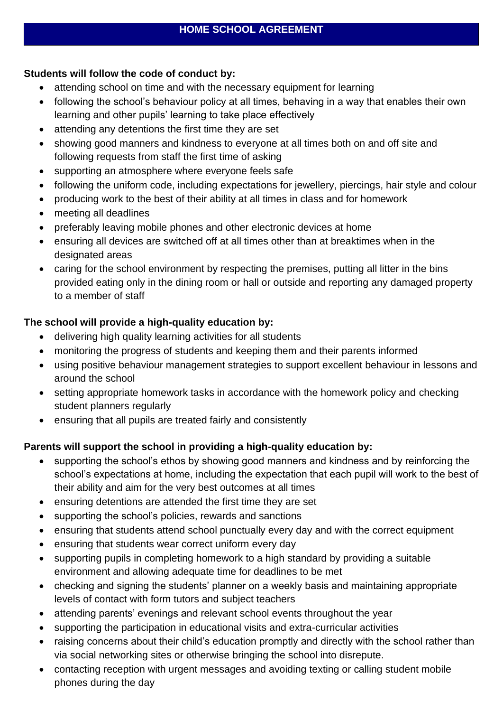## **Students will follow the code of conduct by:**

- attending school on time and with the necessary equipment for learning
- following the school's behaviour policy at all times, behaving in a way that enables their own learning and other pupils' learning to take place effectively
- attending any detentions the first time they are set
- showing good manners and kindness to everyone at all times both on and off site and following requests from staff the first time of asking
- supporting an atmosphere where everyone feels safe
- following the uniform code, including expectations for jewellery, piercings, hair style and colour
- producing work to the best of their ability at all times in class and for homework
- meeting all deadlines
- preferably leaving mobile phones and other electronic devices at home
- ensuring all devices are switched off at all times other than at breaktimes when in the designated areas
- caring for the school environment by respecting the premises, putting all litter in the bins provided eating only in the dining room or hall or outside and reporting any damaged property to a member of staff

## **The school will provide a high-quality education by:**

- delivering high quality learning activities for all students
- monitoring the progress of students and keeping them and their parents informed
- using positive behaviour management strategies to support excellent behaviour in lessons and around the school
- setting appropriate homework tasks in accordance with the homework policy and checking student planners regularly
- ensuring that all pupils are treated fairly and consistently

## **Parents will support the school in providing a high-quality education by:**

- supporting the school's ethos by showing good manners and kindness and by reinforcing the school's expectations at home, including the expectation that each pupil will work to the best of their ability and aim for the very best outcomes at all times
- ensuring detentions are attended the first time they are set
- supporting the school's policies, rewards and sanctions
- ensuring that students attend school punctually every day and with the correct equipment
- ensuring that students wear correct uniform every day
- supporting pupils in completing homework to a high standard by providing a suitable environment and allowing adequate time for deadlines to be met
- checking and signing the students' planner on a weekly basis and maintaining appropriate levels of contact with form tutors and subject teachers
- attending parents' evenings and relevant school events throughout the year
- supporting the participation in educational visits and extra-curricular activities
- raising concerns about their child's education promptly and directly with the school rather than via social networking sites or otherwise bringing the school into disrepute.
- contacting reception with urgent messages and avoiding texting or calling student mobile phones during the day